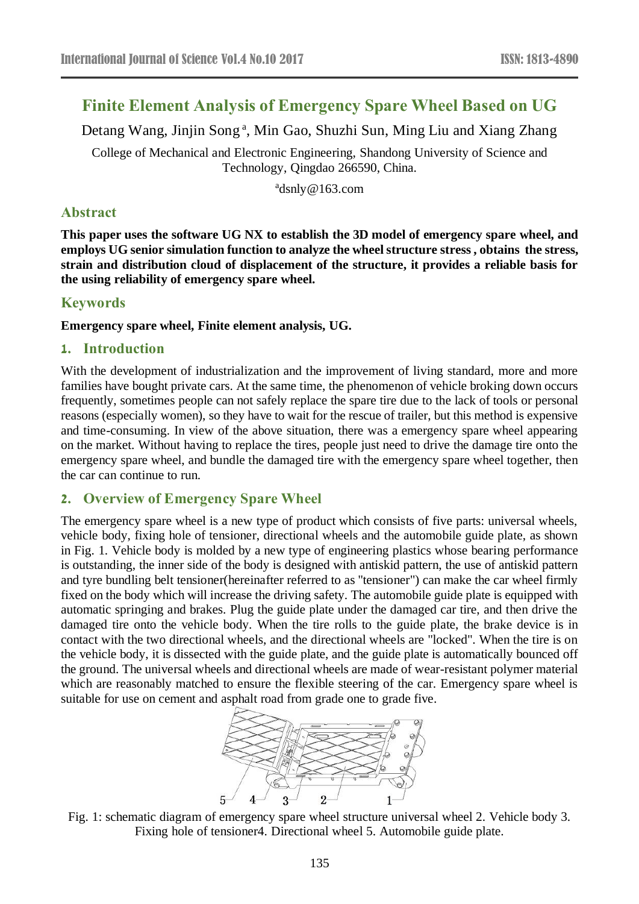# **Finite Element Analysis of Emergency Spare Wheel Based on UG**

Detang Wang, Jinjin Song<sup>a</sup>, Min Gao, Shuzhi Sun, Ming Liu and Xiang Zhang

College of Mechanical and Electronic Engineering, Shandong University of Science and Technology, Qingdao 266590, China.

a dsnly@163.com

## **Abstract**

**This paper uses the software UG NX to establish the 3D model of emergency spare wheel, and employs UG senior simulation function to analyze the wheel structure stress , obtains the stress, strain and distribution cloud of displacement of the structure, it provides a reliable basis for the using reliability of emergency spare wheel.**

### **Keywords**

#### **Emergency spare wheel, Finite element analysis, UG.**

### **1. Introduction**

With the development of industrialization and the improvement of living standard, more and more families have bought private cars. At the same time, the phenomenon of vehicle broking down occurs frequently, sometimes people can not safely replace the spare tire due to the lack of tools or personal reasons (especially women), so they have to wait for the rescue of trailer, but this method is expensive and time-consuming. In view of the above situation, there was a emergency spare wheel appearing on the market. Without having to replace the tires, people just need to drive the damage tire onto the emergency spare wheel, and bundle the damaged tire with the emergency spare wheel together, then the car can continue to run.

## **2. Overview of Emergency Spare Wheel**

The emergency spare wheel is a new type of product which consists of five parts: universal wheels, vehicle body, fixing hole of tensioner, directional wheels and the automobile guide plate, as shown in Fig. 1. Vehicle body is molded by a new type of engineering plastics whose bearing performance is outstanding, the inner side of the body is designed with antiskid pattern, the use of antiskid pattern and tyre bundling belt tensioner(hereinafter referred to as "tensioner") can make the car wheel firmly fixed on the body which will increase the driving safety. The automobile guide plate is equipped with automatic springing and brakes. Plug the guide plate under the damaged car tire, and then drive the damaged tire onto the vehicle body. When the tire rolls to the guide plate, the brake device is in contact with the two directional wheels, and the directional wheels are "locked". When the tire is on the vehicle body, it is dissected with the guide plate, and the guide plate is automatically bounced off the ground. The universal wheels and directional wheels are made of wear-resistant polymer material which are reasonably matched to ensure the flexible steering of the car. Emergency spare wheel is suitable for use on cement and asphalt road from grade one to grade five.



Fig. 1: schematic diagram of emergency spare wheel structure universal wheel 2. Vehicle body 3. Fixing hole of tensioner4. Directional wheel 5. Automobile guide plate.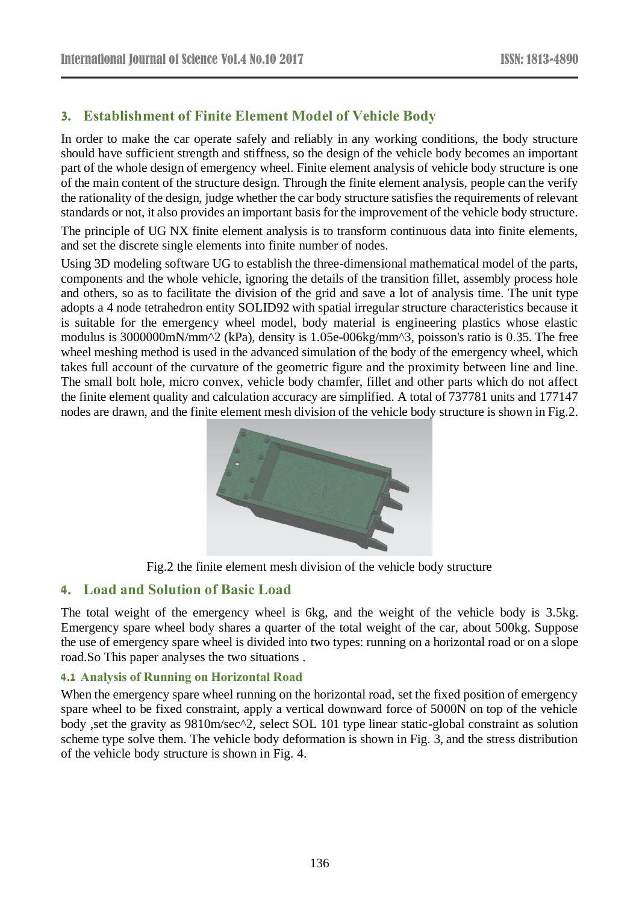# **3. Establishment of Finite Element Model of Vehicle Body**

In order to make the car operate safely and reliably in any working conditions, the body structure should have sufficient strength and stiffness, so the design of the vehicle body becomes an important part of the whole design of emergency wheel. Finite element analysis of vehicle body structure is one of the main content of the structure design. Through the finite element analysis, people can the verify the rationality of the design, judge whether the car body structure satisfies the requirements of relevant standards or not, it also provides an important basis for the improvement of the vehicle body structure.

The principle of UG NX finite element analysis is to transform continuous data into finite elements, and set the discrete single elements into finite number of nodes.

Using 3D modeling software UG to establish the three-dimensional mathematical model of the parts, components and the whole vehicle, ignoring the details of the transition fillet, assembly process hole and others, so as to facilitate the division of the grid and save a lot of analysis time. The unit type adopts a 4 node tetrahedron entity SOLID92 with spatial irregular structure characteristics because it is suitable for the emergency wheel model, body material is engineering plastics whose elastic modulus is 3000000mN/mm^2 (kPa), density is 1.05e-006kg/mm^3, poisson's ratio is 0.35. The free wheel meshing method is used in the advanced simulation of the body of the emergency wheel, which takes full account of the curvature of the geometric figure and the proximity between line and line. The small bolt hole, micro convex, vehicle body chamfer, fillet and other parts which do not affect the finite element quality and calculation accuracy are simplified. A total of 737781 units and 177147 nodes are drawn, and the finite element mesh division of the vehicle body structure is shown in Fig.2.



Fig.2 the finite element mesh division of the vehicle body structure

# **4. Load and Solution of Basic Load**

The total weight of the emergency wheel is 6kg, and the weight of the vehicle body is 3.5kg. Emergency spare wheel body shares a quarter of the total weight of the car, about 500kg. Suppose the use of emergency spare wheel is divided into two types: running on a horizontal road or on a slope road.So This paper analyses the two situations .

## **4.1 Analysis of Running on Horizontal Road**

When the emergency spare wheel running on the horizontal road, set the fixed position of emergency spare wheel to be fixed constraint, apply a vertical downward force of 5000N on top of the vehicle body ,set the gravity as 9810m/sec^2, select SOL 101 type linear static-global constraint as solution scheme type solve them. The vehicle body deformation is shown in Fig. 3, and the stress distribution of the vehicle body structure is shown in Fig. 4.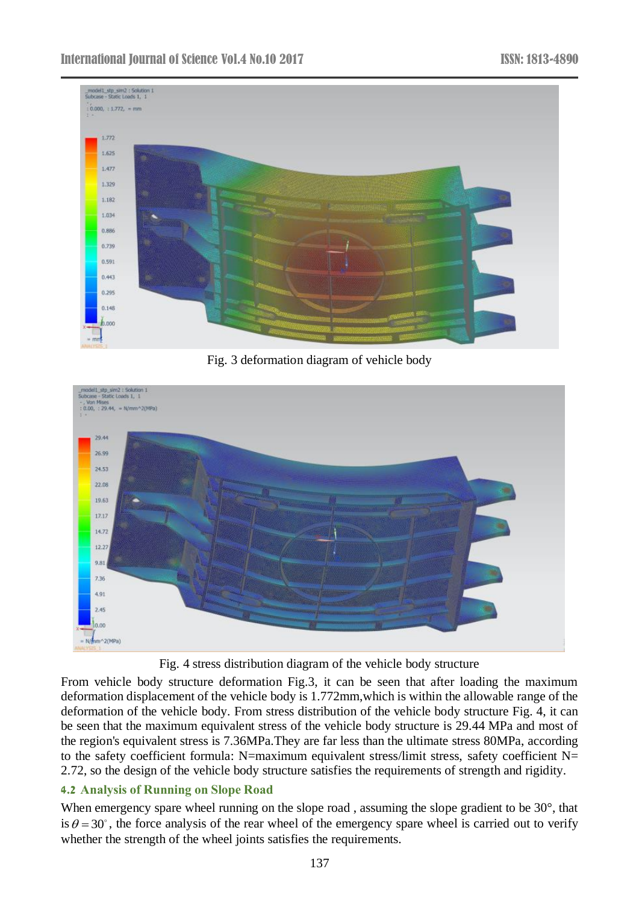

Fig. 3 deformation diagram of vehicle body



Fig. 4 stress distribution diagram of the vehicle body structure

From vehicle body structure deformation Fig.3, it can be seen that after loading the maximum deformation displacement of the vehicle body is 1.772mm,which is within the allowable range of the deformation of the vehicle body. From stress distribution of the vehicle body structure Fig. 4, it can be seen that the maximum equivalent stress of the vehicle body structure is 29.44 MPa and most of the region's equivalent stress is 7.36MPa.They are far less than the ultimate stress 80MPa, according to the safety coefficient formula: N=maximum equivalent stress/limit stress, safety coefficient N= 2.72, so the design of the vehicle body structure satisfies the requirements of strength and rigidity.

## **4.2 Analysis of Running on Slope Road**

When emergency spare wheel running on the slope road, assuming the slope gradient to be 30 $^{\circ}$ , that is  $\theta = 30^{\circ}$ , the force analysis of the rear wheel of the emergency spare wheel is carried out to verify whether the strength of the wheel joints satisfies the requirements.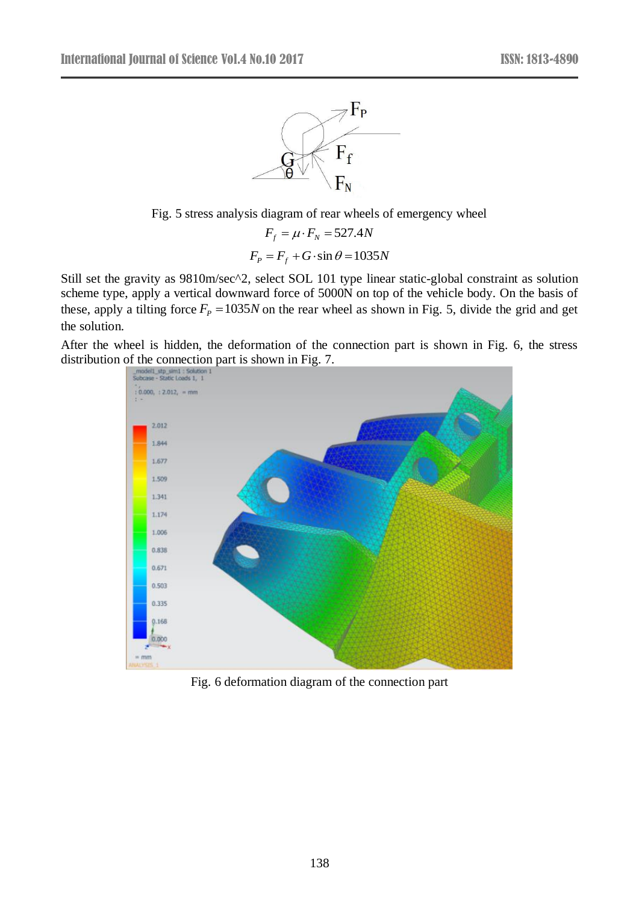



$$
F_f = \mu \cdot F_N = 527.4N
$$

$$
F_P = F_f + G \cdot \sin \theta = 1035N
$$

Still set the gravity as 9810m/sec^2, select SOL 101 type linear static-global constraint as solution scheme type, apply a vertical downward force of 5000N on top of the vehicle body. On the basis of these, apply a tilting force  $F_p = 1035N$  on the rear wheel as shown in Fig. 5, divide the grid and get the solution.

After the wheel is hidden, the deformation of the connection part is shown in Fig. 6, the stress distribution of the connection part is shown in Fig. 7.



Fig. 6 deformation diagram of the connection part